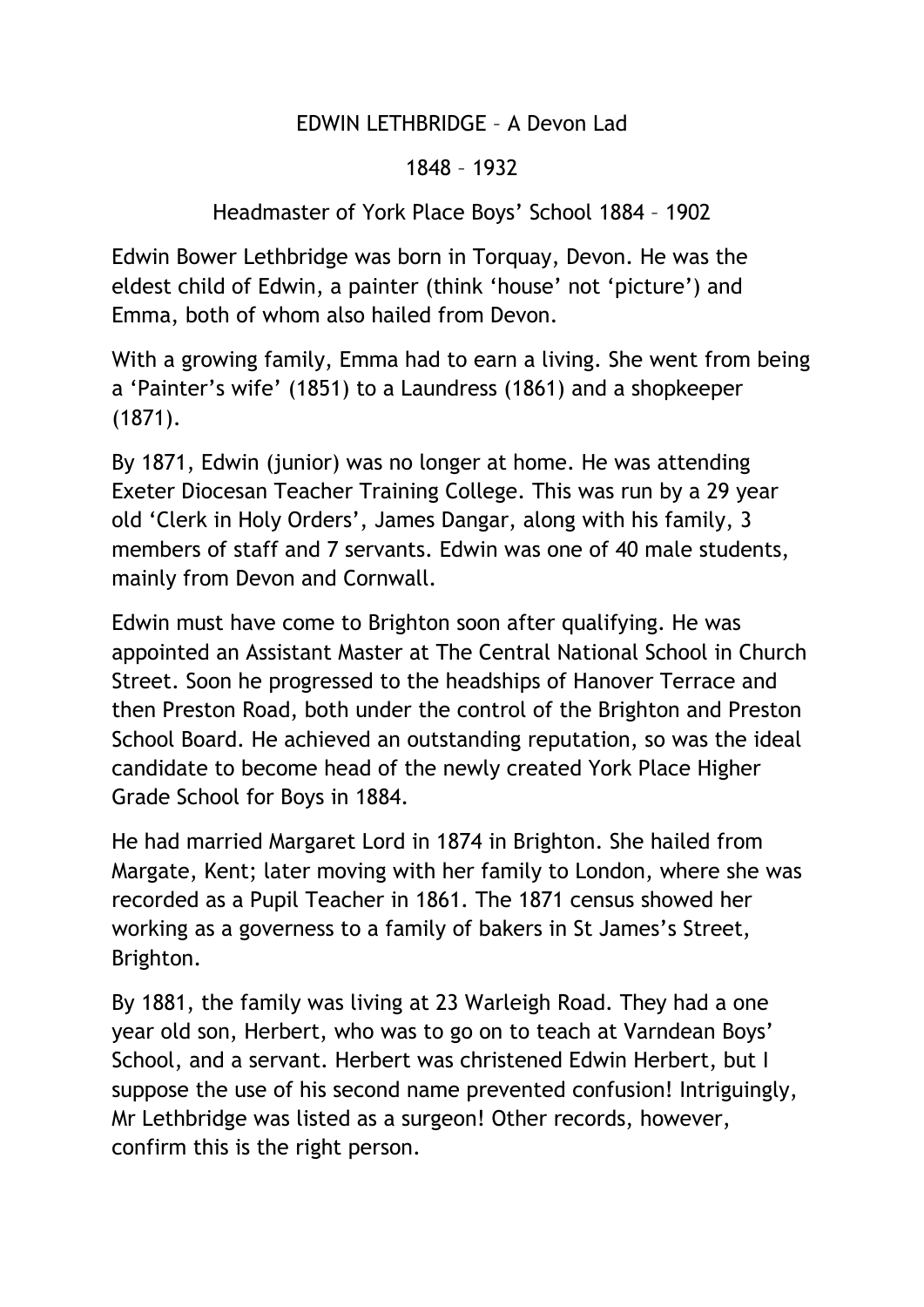## EDWIN LETHBRIDGE – A Devon Lad

## 1848 – 1932

## Headmaster of York Place Boys' School 1884 – 1902

Edwin Bower Lethbridge was born in Torquay, Devon. He was the eldest child of Edwin, a painter (think 'house' not 'picture') and Emma, both of whom also hailed from Devon.

With a growing family, Emma had to earn a living. She went from being a 'Painter's wife' (1851) to a Laundress (1861) and a shopkeeper (1871).

By 1871, Edwin (junior) was no longer at home. He was attending Exeter Diocesan Teacher Training College. This was run by a 29 year old 'Clerk in Holy Orders', James Dangar, along with his family, 3 members of staff and 7 servants. Edwin was one of 40 male students, mainly from Devon and Cornwall.

Edwin must have come to Brighton soon after qualifying. He was appointed an Assistant Master at The Central National School in Church Street. Soon he progressed to the headships of Hanover Terrace and then Preston Road, both under the control of the Brighton and Preston School Board. He achieved an outstanding reputation, so was the ideal candidate to become head of the newly created York Place Higher Grade School for Boys in 1884.

He had married Margaret Lord in 1874 in Brighton. She hailed from Margate, Kent; later moving with her family to London, where she was recorded as a Pupil Teacher in 1861. The 1871 census showed her working as a governess to a family of bakers in St James's Street, Brighton.

By 1881, the family was living at 23 Warleigh Road. They had a one year old son, Herbert, who was to go on to teach at Varndean Boys' School, and a servant. Herbert was christened Edwin Herbert, but I suppose the use of his second name prevented confusion! Intriguingly, Mr Lethbridge was listed as a surgeon! Other records, however, confirm this is the right person.